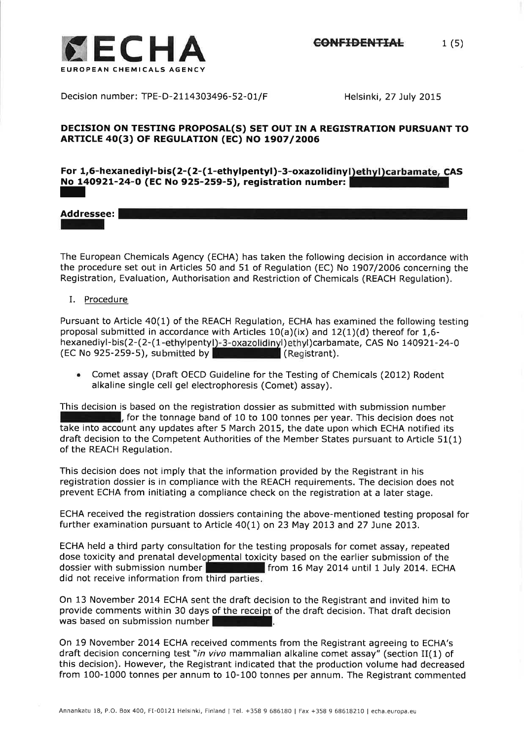Decision number: TPE-D-21 14303496-52-O1/F Helsinki, 27 July 2OI5

# DECISION ON TESTING PROPOSAL(S) SET OUT IN A REGISTRATION PURSUANT TO ARTICLE 40(3) OF REGULATION (EC) NO 1907/2006

# For 1,6-hexanediyl-bis(2-(2-(1-ethylpentyl)-3-oxazolidinyl)ethyl)carbamate, CAS No 140921-24-0 (EC No 925-259-5), registration number:<br>**In Product Contracts**

# Addressee:

the procedure set out in Articles 50 and 51 of Regulation (EC) No 1907/2006 concerning the<br>Registration, Evaluation, Authorisation and Pestriction of Chemicals (PEACH Pequlation) The European Chemicals Agency (ECHA) has taken the following decision in accordance with Registration, Evaluation, Authorisation and Restriction of Chemicals (REACH Regulation).

I. Procedure

Pursuant to Article 40(1) of the REACH Regulation, ECHA has examined the following testing proposal submitted in accordance with Articles 10(a)(ix) and 12(1)(d) thereof for 1,6 hexanediyl-bis(2-(2-(1-ethylpentyl)-3-oxazolidinyl)ethyl)carbamate, CAS No 140921-24-0  $\left($  EC No 925-259-5), submitted by  $\left| \frac{1}{2} \right|$   $\left| \frac{1}{2} \right|$  (Registrant).

Comet assay (Draft OECD Guideline for the Testing of Chemicals (2012) Rodent alkaline single cell gel electrophoresis (Comet) assay).

This decision is based on the registration dossier as submitted with submission number **for the tonnage band of 10 to 100 tonnes per year. This decision does not** take into account any updates after 5 March 2015, the date upon which ECHA notified its draft decision to the Competent Authorities of the Member States pursuant to Article 51(1) of the REACH Regulation.

This decision does not imply that the information provided by the Registrant in his registration dossier is in compliance with the REACH requirements. The decision does not prevent ECHA from initiating a compliance check on the registration at a later stage.

ECHA received the registration dossiers containing the above-mentioned testing proposal for further examination pursuant to Article 40(1) on 23 May 2013 and 27 June 2013.

ECHA held a third party consultation for the testing proposals for comet assay, repeated dose toxicity and prenatal developmental toxicity based on the earlier submission of the dossier with submission number did not receive information from third parties from 16 May 2014 until 1 July 2014. ECHA

On 13 November 2014 ECHA sent the draft decision to the Registrant and invited him to provide comments within 30 days of the receipt of the draft decision. That draft decisior was based on submission number

On 19 November 2014 ECHA received comments from the Registrant agreeing to ECHA's draft decision concerning test "in vivo mammalian alkaline comet assay" (section II(1) of this decision). However, the Registrant indicated that the production volume had decreased from 100-1000 tonnes perannum to 10-100 tonnes per annum. The Registrant commented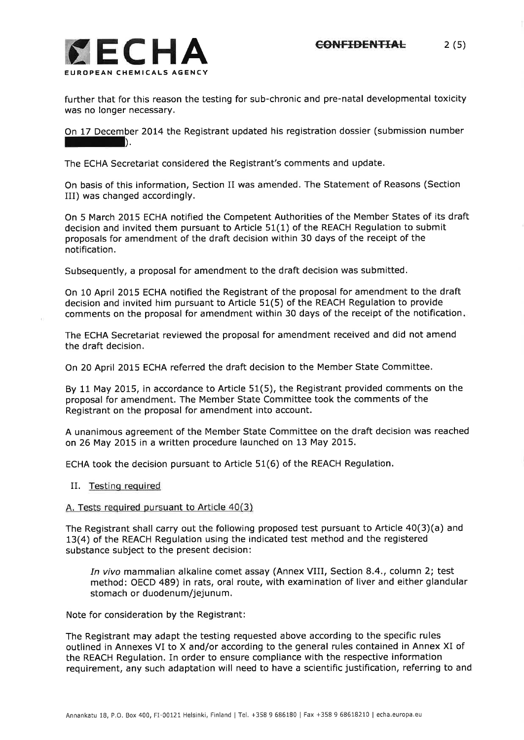

further that for this reason the testing for sub-chronic and pre-natal developmental toxicity was no longer necessary.

On 17 December 2014 the Registrant updated his registration dossier (submission number IIII).

The ECHA Secretariat considered the Registrant's comments and update.

On basis of this information, Section II was amended. The Statement of Reasons (Section III) was changed accordingly.

On 5 March 2015 ECHA notified the Competent Authorities of the Member States of its draft decision and invited them pursuant to Article 51(1) of the REACH Regulation to submit proposals for amendment of the draft decision within 30 days of the receipt of the notification.

Subsequently, a proposal for amendment to the draft decision was submitted.

On 10 April 2015 ECHA notified the Registrant of the proposal for amendment to the draft decision and invited him pursuant to Article 51(5) of the REACH Regulation to provide comments on the proposal for amendment within 30 days of the receipt of the notification

The ECHA Secretariat reviewed the proposal for amendment received and did not amend the draft decision.

On 20 April 2015 ECHA referred the draft decision to the Member State Committee.

By 11 May 2015, in accordance to Article 51(5), the Registrant provided comments on the proposal for amendment. The Member State Committee took the comments of the Registrant on the proposal for amendment into account.

A unanimous agreement of the Member State Committee on the draft decision was reached on 26 May 2015 in a written procedure launched on 13 May 2015.

ECHA took the decision pursuant to Article 51(6) of the REACH Regulation,

IL Testing required

#### A. Tests required pursuant to Article 40(3)

The Registrant shall carry out the following proposed test pursuant to Article  $40(3)(a)$  and 13(4) of the REACH Regulation using the indicated test method and the registered substance subject to the present decision:

In vivo mammalian alkaline comet assay (Annex VIII, Section 8.4., column 2; test method: OECD 489) in rats, oral route, with examination of liver and either glandular stomach or duodenum/jejunum.

Note for consideration by the Registrant:

The Registrant may adapt the testing requested above according to the specific rules outlined in Annexes VI to X and/or according to the general rules contained in Annex XI of the REACH Regulation. In order to ensure compliance with the respective information requirement, any such adaptation will need to have a scientific justification, referring to and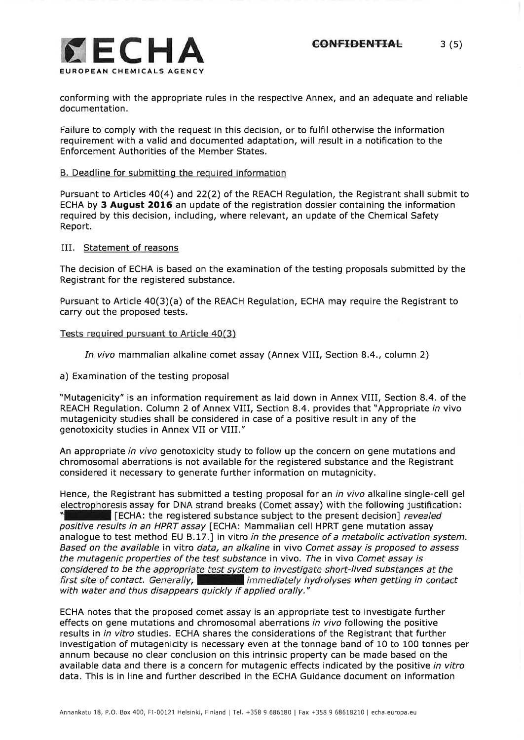

conforming with the appropriate rules in the respective Annex, and an adequate and reliable documentation.

Failure to comply with the request in this decision, or to fulfil otherwise the information requirement with a valid and documented adaptation, will result in a notification to the Enforcement Authorities of the Member States.

### B. Deadline for submittinq the required information

Pursuant to Articles 40(4) and 22(2) of the REACH Regulation, the Registrant shall submit to ECHA by 3 August 2O16 an update of the registration dossier containing the information required by this decision, including, where relevant, an update of the Chemical Safety Report,

#### IIL Statement of reasons

The decision of ECHA is based on the examination of the testing proposals submitted by the Registrant for the registered substance.

Pursuant to Article 40(3)(a) of the REACH Regulation, ECHA may require the Registrant to carry out the proposed tests.

#### Tests required pursuant to Article 40(3)

In vivo mammalian alkaline comet assay (Annex VIII, Section 8.4., column 2)

a) Examination of the testing proposal

"Mutagenicity" is an information requirement as laid down in Annex VIII, Section 8.4. of the REACH Regulation. Column 2 of Annex VIII, Section 8.4. provides that "Appropriate in vivo mutagenicity studies shall be considered in case of a positive result in any of the genotoxicity studies in Annex VII or VIIL"

An appropriate in vivo genotoxicity study to follow up the concern on gene mutations and chromosomal aberrations is not available for the registered substance and the Registrant considered it necessary to generate further information on mutagnicity.

Hence, the Registrant has submitted a testing proposal for an *in vivo* alkaline single-cell gel electrophoresis assay for DNA strand breaks (Comet assay) with the following justification: **F** [ECHA: the registered substance subject to the present decision] *revealed* positive results in an HPRT assay [ECHA: Mammalian cell HPRT gene mutation assay analogue to test method EU B.17.] in vitro in the presence of a metabolic activation system. Based on the available in vitro data, an alkaline in vivo Comet assay is proposed fo assess the mutagenic properties of the test substance in vivo. The in vivo Comet assay is considered to be the appropriate test system to investigate short-lived substances at the first site of contact. Generally,  $\blacksquare$  immediately hydrolyses when getting in contact with water and thus disappears quickly if applied orally."

ECHA notes that the proposed comet assay is an appropriate test to investigate further effects on gene mutations and chromosomal aberrations in vivo following the positive results in in vitro studies. ECHA shares the considerations of the Registrant that further investigation of mutagenicity is necessary even at the tonnage band of 10 to 100 tonnes per annum because no clear conclusion on this intrinsic property can be made based on the available data and there is a concern for mutagenic effects indicated by the positive in vitro data. This is in line and further described in the ECHA Guidance document on information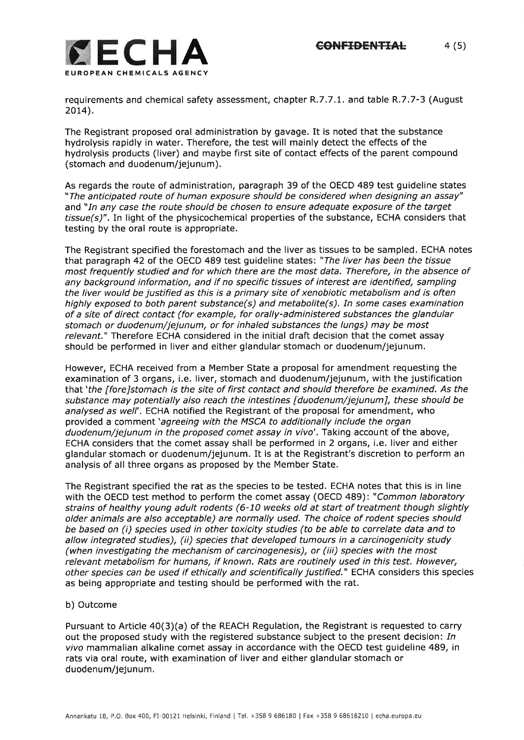

requirements and chemical safety assessment, chapter R.7.7.1. and table R.7.7-3 (August  $2014$ ).

The Registrant proposed oral administration by gavage. It is noted that the substance hydrolysis rapidly in water. Therefore, the test will mainly detect the effects of the hydrolysis products (liver) and maybe first site of contact effects of the parent compound (stomach and duodenum/jejunum).

As regards the route of administration, paragraph 39 of the OECD 489 test guideline states "The anticipated route of human exposure should be considered when designing an assay" and "In any case the route should be chosen to ensure adequate exposure of the target  $tissue(s)$ ". In light of the physicochemical properties of the substance, ECHA considers that testing by the oral route is appropriate.

The Registrant specified the forestomach and the liver as tissues to be sampled, ECHA notes that paragraph 42 of the OECD 489 test guideline states: "The liver has been the tissue most frequently studied and for which there are the most data. Therefore, in the absence of any background information, and if no specific fissues of interest are identified, sampling the liver would be justified as this is a primary site of xenobiotic metabolism and is often highly exposed to both parent substance(s) and metabolite(s). In some cases examination of a site of direct contact (for example, for orally-administered substances the glandular stomach or duodenum/jejunum, or for inhaled substances the lungs) may be most relevant." Therefore ECHA considered in the initial draft decision that the comet assay should be performed in liver and either glandular stomach or duodenum/jejunum.

However, ECHA received from a Member State a proposal for amendment requesting the examination of 3 organs, i,e. liver, stomach and duodenum/jejunum, with the justification that'fhe [fore]stomach is the site of first contact and should therefore be examined. As the substance may potentially also reach the intestines [duodenum/jejunum], these should be analysed as well'. ECHA notified the Registrant of the proposal for amendment, who provided a comment 'agreeing with the MSCA to additionally include the organ duodenum/jejunum in the proposed comet assay in vivo'. Taking account of the above, ECHA considers that the comet assay shall be performed in 2 organs, i.e. liver and either glandular stomach or duodenum/jejunum, It is at the Registrant's discretion to perform an analysis of all three organs as proposed by the Member State.

The Registrant specified the rat as the species to be tested. ECHA notes that this is in line with the OECD test method to perform the comet assay (OECD 489): "Common laboratory strains of healthy young adult rodents (6-10 weeks old at start of treatment though slightly older animals are also acceptable) are normally used. The choice of rodent species should be based on (i) species used in other toxicity studies (to be able to correlate data and to allow integrated studies), (ii) species that developed tumours in a carcinogenicity study (when investigating the mechanism of carcinogenesis), or (iii) species with the most relevant metabolism for humans, if known. Rafs are routinely used in this test. However, other species can be used if ethically and scientifically justified." ECHA considers this species as being appropriate and testing should be performed with the rat.

## b) Outcome

Pursuant to Article 40(3)(a) of the REACH Regulation, the Registrant is requested to carry out the proposed study with the registered substance subject to the present decision: In yiyo mammalian alkaline comet assay in accordance with the OECD test guideline 489, in rats via oral route, with examination of liver and either glandular stomach or duodenum/jejunum.